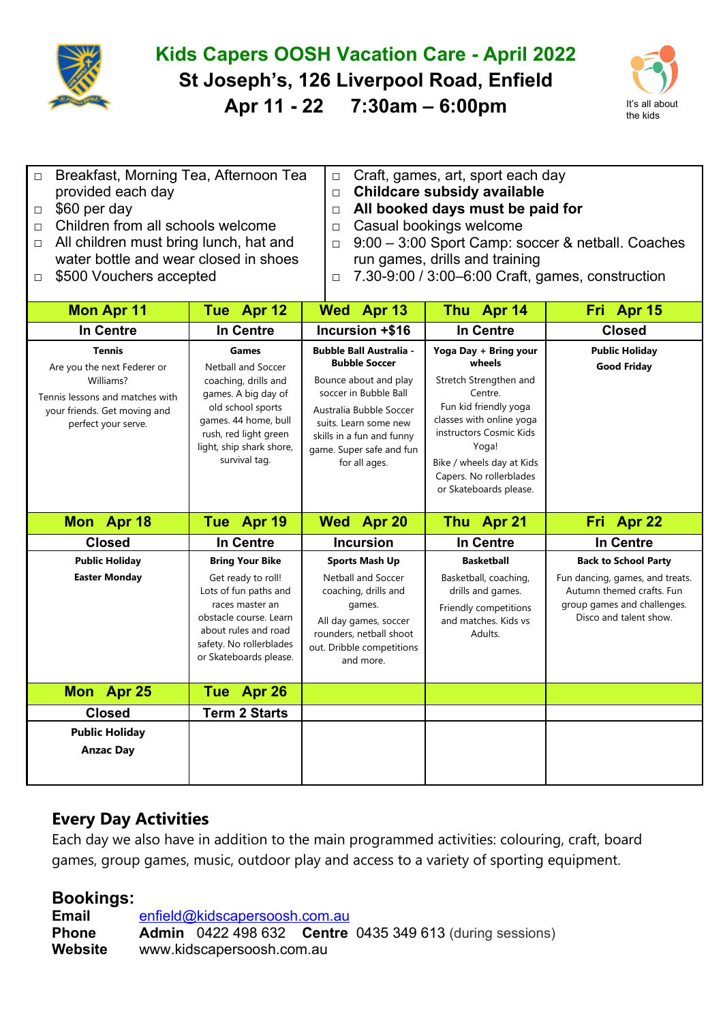

## **Kids Capers OOSH Vacation Care - April 2022 St Joseph's, 126 Liverpool Road, Enfield Apr 11 - 22 7:30am – 6:00pm** It's all about



| $\Box$ | Breakfast, Morning Tea, Afternoon Tea         |        | $\vert$ $\Box$ Craft, games, art, sport each day         |
|--------|-----------------------------------------------|--------|----------------------------------------------------------|
|        | provided each day                             | $\Box$ | Childcare subsidy available                              |
|        | $\Box$ \$60 per day                           |        | $\Box$ All booked days must be paid for                  |
|        | $\Box$ Children from all schools welcome      |        | $\Box$ Casual bookings welcome                           |
|        | $\Box$ All children must bring lunch, hat and |        | $\Box$ 9:00 – 3:00 Sport Camp: soccer & netball. Coaches |
|        | water bottle and wear closed in shoes         |        | run games, drills and training                           |

□ \$500 Vouchers accepted

- run games, drills and training
- □ 7.30-9:00 / 3:00–6:00 Craft, games, construction

| <b>Mon Apr 11</b>                                                                                                                                   | Tue Apr 12                                                                                                                                                                                                  | Wed Apr 13                                                                                                                                                                                                                             | Thu Apr 14                                                                                                                                                                                                                                      | Fri Apr 15                                                                                                                                           |
|-----------------------------------------------------------------------------------------------------------------------------------------------------|-------------------------------------------------------------------------------------------------------------------------------------------------------------------------------------------------------------|----------------------------------------------------------------------------------------------------------------------------------------------------------------------------------------------------------------------------------------|-------------------------------------------------------------------------------------------------------------------------------------------------------------------------------------------------------------------------------------------------|------------------------------------------------------------------------------------------------------------------------------------------------------|
| <b>In Centre</b>                                                                                                                                    | In Centre                                                                                                                                                                                                   | Incursion +\$16                                                                                                                                                                                                                        | <b>In Centre</b>                                                                                                                                                                                                                                | <b>Closed</b>                                                                                                                                        |
| <b>Tennis</b><br>Are you the next Federer or<br>Williams?<br>Tennis lessons and matches with<br>your friends. Get moving and<br>perfect your serve. | <b>Games</b><br><b>Netball and Soccer</b><br>coaching, drills and<br>games. A big day of<br>old school sports<br>games. 44 home, bull<br>rush, red light green<br>light, ship shark shore,<br>survival tag. | <b>Bubble Ball Australia -</b><br><b>Bubble Soccer</b><br>Bounce about and play<br>soccer in Bubble Ball<br>Australia Bubble Soccer<br>suits. Learn some new<br>skills in a fun and funny<br>game. Super safe and fun<br>for all ages. | Yoga Day + Bring your<br>wheels<br>Stretch Strengthen and<br>Centre.<br>Fun kid friendly yoga<br>classes with online yoga<br>instructors Cosmic Kids<br>Yoga!<br>Bike / wheels day at Kids<br>Capers. No rollerblades<br>or Skateboards please. | <b>Public Holiday</b><br><b>Good Friday</b>                                                                                                          |
| Mon Apr 18                                                                                                                                          | Tue Apr 19                                                                                                                                                                                                  | <b>Apr 20</b><br><b>Wed</b>                                                                                                                                                                                                            | Thu Apr 21                                                                                                                                                                                                                                      | Fri Apr 22                                                                                                                                           |
| <b>Closed</b>                                                                                                                                       | In Centre                                                                                                                                                                                                   | <b>Incursion</b>                                                                                                                                                                                                                       | <b>In Centre</b>                                                                                                                                                                                                                                | <b>In Centre</b>                                                                                                                                     |
| <b>Public Holiday</b><br><b>Easter Monday</b>                                                                                                       | <b>Bring Your Bike</b><br>Get ready to roll!<br>Lots of fun paths and<br>races master an<br>obstacle course. Learn<br>about rules and road<br>safety. No rollerblades<br>or Skateboards please.             | <b>Sports Mash Up</b><br><b>Netball and Soccer</b><br>coaching, drills and<br>games.<br>All day games, soccer<br>rounders, netball shoot<br>out. Dribble competitions<br>and more.                                                     | <b>Basketball</b><br>Basketball, coaching,<br>drills and games.<br>Friendly competitions<br>and matches. Kids vs<br>Adults.                                                                                                                     | <b>Back to School Party</b><br>Fun dancing, games, and treats.<br>Autumn themed crafts. Fun<br>group games and challenges.<br>Disco and talent show. |
| <b>Mon</b><br><b>Apr 25</b>                                                                                                                         | Tue Apr 26                                                                                                                                                                                                  |                                                                                                                                                                                                                                        |                                                                                                                                                                                                                                                 |                                                                                                                                                      |
| <b>Closed</b>                                                                                                                                       | <b>Term 2 Starts</b>                                                                                                                                                                                        |                                                                                                                                                                                                                                        |                                                                                                                                                                                                                                                 |                                                                                                                                                      |
| <b>Public Holiday</b><br><b>Anzac Day</b>                                                                                                           |                                                                                                                                                                                                             |                                                                                                                                                                                                                                        |                                                                                                                                                                                                                                                 |                                                                                                                                                      |

## **Every Day Activities**

Each day we also have in addition to the main programmed activities: colouring, craft, board games, group games, music, outdoor play and access to a variety of sporting equipment.

## **Bookings:**

Email enfield@kidscapersoosh.com.au **Phone Admin** 0422 498 632 **Centre** 0435 349 613 (during sessions) **Website** www.kidscapersoosh.com.au